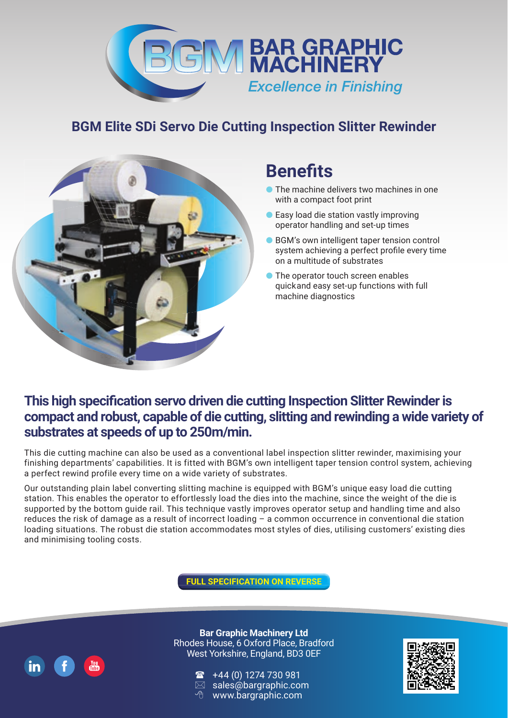

## **BGM Elite SDi Servo Die Cutting Inspection Slitter Rewinder**



# **Benefits**

- The machine delivers two machines in one with a compact foot print
- Easy load die station vastly improving operator handling and set-up times
- BGM's own intelligent taper tension control system achieving a perfect profile every time on a multitude of substrates
- The operator touch screen enables quick and easy set-up functions with full machine diagnostics

### **This high specification servo driven die cutting Inspection Slitter Rewinder is compact and robust, capable of die cutting, slitting and rewinding a wide variety of substrates at speeds of up to 250m/min.**

This die cutting machine can also be used as a conventional label inspection slitter rewinder, maximising your finishing departments' capabilities. It is fitted with BGM's own intelligent taper tension control system, achieving a perfect rewind profile every time on a wide variety of substrates.

Our outstanding plain label converting slitting machine is equipped with BGM's unique easy load die cutting station. This enables the operator to effortlessly load the dies into the machine, since the weight of the die is supported by the bottom guide rail. This technique vastly improves operator setup and handling time and also reduces the risk of damage as a result of incorrect loading – a common occurrence in conventional die station loading situations. The robust die station accommodates most styles of dies, utilising customers' existing dies and minimising tooling costs.

**FULL SPECIFICATION ON REVERSE**



**Bar Graphic Machinery Ltd** Rhodes House, 6 Oxford Place, Bradford West Yorkshire, England, BD3 0EF